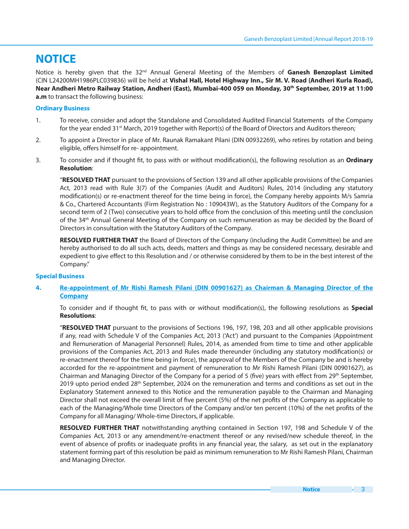# **NOTICE**

Notice is hereby given that the 32<sup>nd</sup> Annual General Meeting of the Members of Ganesh Benzoplast Limited (CIN L24200MH1986PLC039836) will be held at **Vishal Hall, Hotel Highway Inn., Sir M. V. Road (Andheri Kurla Road), Near Andheri Metro Railway Station, Andheri (East), Mumbai-400 059 on Monday, 30th September, 2019 at 11:00 a.m** to transact the following business:

# **Ordinary Business**

- 1. To receive, consider and adopt the Standalone and Consolidated Audited Financial Statements of the Company for the year ended 31<sup>st</sup> March, 2019 together with Report(s) of the Board of Directors and Auditors thereon;
- 2. To appoint a Director in place of Mr. Raunak Ramakant Pilani (DIN 00932269), who retires by rotation and being eligible, offers himself for re- appointment.
- 3. To consider and if thought fit, to pass with or without modification(s), the following resolution as an **Ordinary Resolution**:

"**RESOLVED THAT** pursuant to the provisions of Section 139 and all other applicable provisions of the Companies Act, 2013 read with Rule 3(7) of the Companies (Audit and Auditors) Rules, 2014 (including any statutory modification(s) or re-enactment thereof for the time being in force), the Company hereby appoints M/s Samria & Co., Chartered Accountants (Firm Registration No : 109043W), as the Statutory Auditors of the Company for a second term of 2 (Two) consecutive years to hold office from the conclusion of this meeting until the conclusion of the 34th Annual General Meeting of the Company on such remuneration as may be decided by the Board of Directors in consultation with the Statutory Auditors of the Company.

**RESOLVED FURTHER THAT** the Board of Directors of the Company (including the Audit Committee) be and are hereby authorised to do all such acts, deeds, matters and things as may be considered necessary, desirable and expedient to give effect to this Resolution and / or otherwise considered by them to be in the best interest of the Company."

# **Special Business**

# **4. Re-appointment of Mr Rishi Ramesh Pilani (DIN 00901627) as Chairman & Managing Director of the Company**

To consider and if thought fit, to pass with or without modification(s), the following resolutions as **Special Resolutions**:

 "**RESOLVED THAT** pursuant to the provisions of Sections 196, 197, 198, 203 and all other applicable provisions if any, read with Schedule V of the Companies Act, 2013 ('Act') and pursuant to the Companies (Appointment and Remuneration of Managerial Personnel) Rules, 2014, as amended from time to time and other applicable provisions of the Companies Act, 2013 and Rules made thereunder (including any statutory modification(s) or re-enactment thereof for the time being in force), the approval of the Members of the Company be and is hereby accorded for the re-appointment and payment of remuneration to Mr Rishi Ramesh Pilani (DIN 00901627), as Chairman and Managing Director of the Company for a period of 5 (five) years with effect from 29<sup>th</sup> September, 2019 upto period ended 28<sup>th</sup> September, 2024 on the remuneration and terms and conditions as set out in the Explanatory Statement annexed to this Notice and the remuneration payable to the Chairman and Managing Director shall not exceed the overall limit of five percent (5%) of the net profits of the Company as applicable to each of the Managing/Whole time Directors of the Company and/or ten percent (10%) of the net profits of the Company for all Managing/ Whole-time Directors, if applicable.

**RESOLVED FURTHER THAT** notwithstanding anything contained in Section 197, 198 and Schedule V of the Companies Act, 2013 or any amendment/re-enactment thereof or any revised/new schedule thereof, in the event of absence of profits or inadequate profits in any financial year, the salary, as set out in the explanatory statement forming part of this resolution be paid as minimum remuneration to Mr Rishi Ramesh Pilani, Chairman and Managing Director.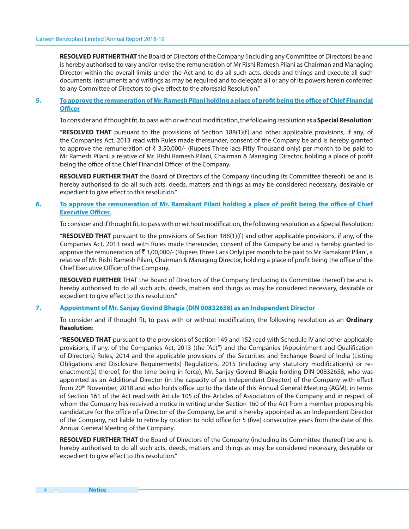**RESOLVED FURTHER THAT** the Board of Directors of the Company (including any Committee of Directors) be and is hereby authorised to vary and/or revise the remuneration of Mr Rishi Ramesh Pilani as Chairman and Managing Director within the overall limits under the Act and to do all such acts, deeds and things and execute all such documents, instruments and writings as may be required and to delegate all or any of its powers herein conferred to any Committee of Directors to give effect to the aforesaid Resolution."

## **5. To approve the remuneration of Mr. Ramesh Pilani holding a place of profit being the office of Chief Financial Officer**

To consider and if thought fit, to pass with or without modification, the following resolution as a **Special Resolution**:

 "**RESOLVED THAT** pursuant to the provisions of Section 188(1)(f) and other applicable provisions, if any, of the Companies Act, 2013 read with Rules made thereunder, consent of the Company be and is hereby granted to approve the remuneration of ₹ 3,50,000/- (Rupees Three lacs Fifty Thousand only) per month to be paid to Mr Ramesh Pilani, a relative of Mr. Rishi Ramesh Pilani, Chairman & Managing Director, holding a place of profit being the office of the Chief Financial Officer of the Company.

**RESOLVED FURTHER THAT** the Board of Directors of the Company (including its Committee thereof) be and is hereby authorised to do all such acts, deeds, matters and things as may be considered necessary, desirable or expedient to give effect to this resolution."

## **6.** To approve the remuneration of Mr. Ramakant Pilani holding a place of profit being the office of Chief **Executive Officer.**

To consider and if thought fit, to pass with or without modification, the following resolution as a Special Resolution:

 "**RESOLVED THAT** pursuant to the provisions of Section 188(1)(f) and other applicable provisions, if any, of the Companies Act, 2013 read with Rules made thereunder, consent of the Company be and is hereby granted to approve the remuneration of  $\bar{\bar{\tau}}$  3,00,000/- (Rupees Three Lacs Only) per month to be paid to Mr Ramakant Pilani, a relative of Mr. Rishi Ramesh Pilani, Chairman & Managing Director, holding a place of profit being the office of the Chief Executive Officer of the Company.

**RESOLVED FURTHER** THAT the Board of Directors of the Company (including its Committee thereof) be and is hereby authorised to do all such acts, deeds, matters and things as may be considered necessary, desirable or expedient to give effect to this resolution."

### **7. Appointment of Mr. Sanjay Govind Bhagia (DIN 00832658) as an Independent Director**

To consider and if thought fit, to pass with or without modification, the following resolution as an *Ordinary* **Resolution**:

 **"RESOLVED THAT** pursuant to the provisions of Section 149 and 152 read with Schedule IV and other applicable provisions, if any, of the Companies Act, 2013 (the "Act") and the Companies (Appointment and Qualification of Directors) Rules, 2014 and the applicable provisions of the Securities and Exchange Board of India (Listing Obligations and Disclosure Requirements) Regulations, 2015 (including any statutory modification(s) or reenactment(s) thereof, for the time being in force), Mr. Sanjay Govind Bhagia holding DIN 00832658, who was appointed as an Additional Director (in the capacity of an Independent Director) of the Company with effect from 20<sup>th</sup> November, 2018 and who holds office up to the date of this Annual General Meeting (AGM), in terms of Section 161 of the Act read with Article 105 of the Articles of Association of the Company and in respect of whom the Company has received a notice in writing under Section 160 of the Act from a member proposing his candidature for the office of a Director of the Company, be and is hereby appointed as an Independent Director of the Company, not liable to retire by rotation to hold office for 5 (five) consecutive years from the date of this Annual General Meeting of the Company.

**RESOLVED FURTHER THAT** the Board of Directors of the Company (including its Committee thereof) be and is hereby authorised to do all such acts, deeds, matters and things as may be considered necessary, desirable or expedient to give effect to this resolution."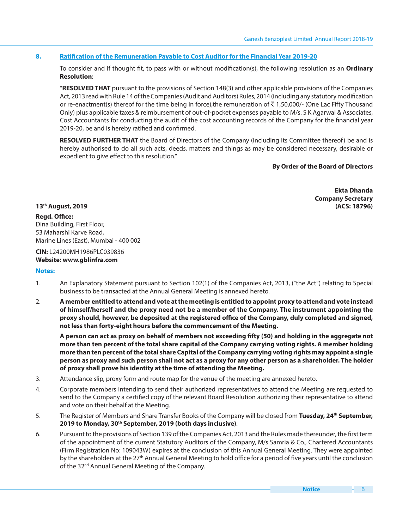# **8. Ratification of the Remuneration Payable to Cost Auditor for the Financial Year 2019-20**

To consider and if thought fit, to pass with or without modification(s), the following resolution as an **Ordinary Resolution**:

 "**RESOLVED THAT** pursuant to the provisions of Section 148(3) and other applicable provisions of the Companies Act, 2013 read with Rule 14 of the Companies (Audit and Auditors) Rules, 2014 (including any statutory modification or re-enactment(s) thereof for the time being in force), the remuneration of  $\bar{z}$  1,50,000/- (One Lac Fifty Thousand Only) plus applicable taxes & reimbursement of out-of-pocket expenses payable to M/s. S K Agarwal & Associates, Cost Accountants for conducting the audit of the cost accounting records of the Company for the financial year 2019-20, be and is hereby ratified and confirmed.

**RESOLVED FURTHER THAT** the Board of Directors of the Company (including its Committee thereof) be and is hereby authorised to do all such acts, deeds, matters and things as may be considered necessary, desirable or expedient to give effect to this resolution."

## **By Order of the Board of Directors**

**Ekta Dhanda Company Secretary 13th August, 2019 (ACS: 18796)**

## **Regd. Office:**

Dina Building, First Floor, 53 Maharshi Karve Road, Marine Lines (East), Mumbai - 400 002

# **CIN:** L24200MH1986PLC039836 **Website: www.gblinfra.com**

#### **Notes:**

- 1. An Explanatory Statement pursuant to Section 102(1) of the Companies Act, 2013, ("the Act") relating to Special business to be transacted at the Annual General Meeting is annexed hereto.
- 2. **A member entitled to attend and vote at the meeting is entitled to appoint proxy to attend and vote instead of himself/herself and the proxy need not be a member of the Company. The instrument appointing the**  proxy should, however, be deposited at the registered office of the Company, duly completed and signed, **not less than forty-eight hours before the commencement of the Meeting.**

 **A person can act as proxy on behalf of members not exceeding !fty (50) and holding in the aggregate not more than ten percent of the total share capital of the Company carrying voting rights. A member holding more than ten percent of the total share Capital of the Company carrying voting rights may appoint a single person as proxy and such person shall not act as a proxy for any other person as a shareholder. The holder of proxy shall prove his identity at the time of attending the Meeting.**

- 3. Attendance slip, proxy form and route map for the venue of the meeting are annexed hereto.
- 4. Corporate members intending to send their authorized representatives to attend the Meeting are requested to send to the Company a certified copy of the relevant Board Resolution authorizing their representative to attend and vote on their behalf at the Meeting.
- 5. The Register of Members and Share Transfer Books of the Company will be closed from **Tuesday, 24th September, 2019 to Monday, 30th September, 2019 (both days inclusive)**.
- 6. Pursuant to the provisions of Section 139 of the Companies Act, 2013 and the Rules made thereunder, the first term of the appointment of the current Statutory Auditors of the Company, M/s Samria & Co., Chartered Accountants (Firm Registration No: 109043W) expires at the conclusion of this Annual General Meeting. They were appointed by the shareholders at the 27<sup>th</sup> Annual General Meeting to hold office for a period of five years until the conclusion of the 32<sup>nd</sup> Annual General Meeting of the Company.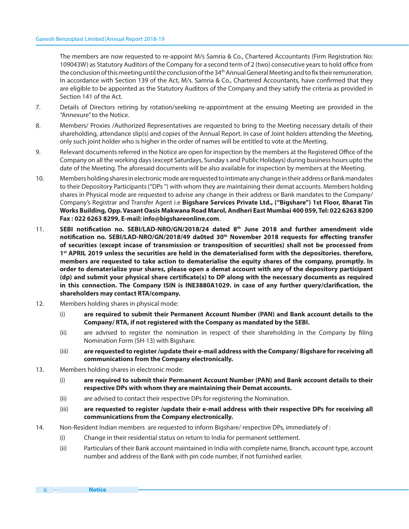The members are now requested to re-appoint M/s Samria & Co., Chartered Accountants (Firm Registration No: 109043W) as Statutory Auditors of the Company for a second term of 2 (two) consecutive years to hold office from the conclusion of this meeting until the conclusion of the 34<sup>th</sup> Annual General Meeting and to fix their remuneration. In accordance with Section 139 of the Act, M/s. Samria & Co., Chartered Accountants, have confirmed that they are eligible to be appointed as the Statutory Auditors of the Company and they satisfy the criteria as provided in Section 141 of the Act.

- 7. Details of Directors retiring by rotation/seeking re-appointment at the ensuing Meeting are provided in the "Annexure" to the Notice.
- 8. Members/ Proxies /Authorized Representatives are requested to bring to the Meeting necessary details of their shareholding, attendance slip(s) and copies of the Annual Report. In case of Joint holders attending the Meeting, only such joint holder who is higher in the order of names will be entitled to vote at the Meeting.
- 9. Relevant documents referred in the Notice are open for inspection by the members at the Registered Office of the Company on all the working days (except Saturdays, Sunday s and Public Holidays) during business hours upto the date of the Meeting. The aforesaid documents will be also available for inspection by members at the Meeting.
- 10. Members holding shares in electronic mode are requested to intimate any change in their address or Bank mandates to their Depository Participants ("DPs ") with whom they are maintaining their demat accounts. Members holding shares in Physical mode are requested to advise any change in their address or Bank mandates to the Company/ Company's Registrar and Transfer Agent i.e **Bigshare Services Private Ltd., ("Bigshare") 1st Floor, Bharat Tin Works Building, Opp. Vasant Oasis Makwana Road Marol, Andheri East Mumbai 400 059, Tel: 022 6263 8200 Fax : 022 6263 8299, E-mail: info@bigshareonline.com**.
- 11. **SEBI notification no. SEBI/LAD-NRO/GN/2018/24 dated 8<sup>th</sup> June 2018 and further amendment vide** notification no. SEBI/LAD-NRO/GN/2018/49 da0ted 30<sup>th</sup> November 2018 requests for effecting transfer **of securities (except incase of transmission or transposition of securities) shall not be processed from 1 st APRIL 2019 unless the securities are held in the dematerialised form with the depositories. therefore, members are requested to take action to dematerialise the equity shares of the company, promptly. In order to dematerialize your shares, please open a demat account with any of the depository participant**  (dp) and submit your physical share certificate(s) to DP along with the necessary documents as required in this connection. The Company ISIN is INE3880A1029. in case of any further query/clarification, the **shareholders may contact RTA/company.**
- 12. Members holding shares in physical mode:
	- (i) **are required to submit their Permanent Account Number (PAN) and Bank account details to the Company/ RTA, if not registered with the Company as mandated by the SEBI.**
	- (ii) are advised to register the nomination in respect of their shareholding in the Company by "ling Nomination Form (SH-13) with Bigshare.
	- (iii) **are requested to register /update their e-mail address with the Company/ Bigshare for receiving all communications from the Company electronically.**
- 13. Members holding shares in electronic mode:
	- (i) **are required to submit their Permanent Account Number (PAN) and Bank account details to their respective DPs with whom they are maintaining their Demat accounts.**
	- (ii) are advised to contact their respective DPs for registering the Nomination.
	- (iii) **are requested to register /update their e-mail address with their respective DPs for receiving all communications from the Company electronically.**
- 14. Non-Resident Indian members are requested to inform Bigshare/ respective DPs, immediately of :
	- (i) Change in their residential status on return to India for permanent settlement.
	- (ii) Particulars of their Bank account maintained in India with complete name, Branch, account type, account number and address of the Bank with pin code number, if not furnished earlier.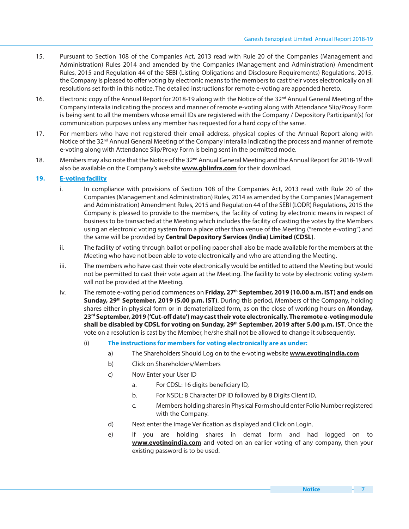- 15. Pursuant to Section 108 of the Companies Act, 2013 read with Rule 20 of the Companies (Management and Administration) Rules 2014 and amended by the Companies (Management and Administration) Amendment Rules, 2015 and Regulation 44 of the SEBI (Listing Obligations and Disclosure Requirements) Regulations, 2015, the Company is pleased to offer voting by electronic means to the members to cast their votes electronically on all resolutions set forth in this notice. The detailed instructions for remote e-voting are appended hereto.
- 16. Electronic copy of the Annual Report for 2018-19 along with the Notice of the 32<sup>nd</sup> Annual General Meeting of the Company interalia indicating the process and manner of remote e-voting along with Attendance Slip/Proxy Form is being sent to all the members whose email IDs are registered with the Company / Depository Participant(s) for communication purposes unless any member has requested for a hard copy of the same.
- 17. For members who have not registered their email address, physical copies of the Annual Report along with Notice of the 32<sup>nd</sup> Annual General Meeting of the Company interalia indicating the process and manner of remote e-voting along with Attendance Slip/Proxy Form is being sent in the permitted mode.
- 18. Members may also note that the Notice of the 32<sup>nd</sup> Annual General Meeting and the Annual Report for 2018-19 will also be available on the Company's website **www.gblinfra.com** for their download.

# **19. E-voting facility**

- i. In compliance with provisions of Section 108 of the Companies Act, 2013 read with Rule 20 of the Companies (Management and Administration) Rules, 2014 as amended by the Companies (Management and Administration) Amendment Rules, 2015 and Regulation 44 of the SEBI (LODR) Regulations, 2015 the Company is pleased to provide to the members, the facility of voting by electronic means in respect of business to be transacted at the Meeting which includes the facility of casting the votes by the Members using an electronic voting system from a place other than venue of the Meeting ("remote e-voting") and the same will be provided by **Central Depository Services (India) Limited (CDSL)**.
- ii. The facility of voting through ballot or polling paper shall also be made available for the members at the Meeting who have not been able to vote electronically and who are attending the Meeting.
- iii. The members who have cast their vote electronically would be entitled to attend the Meeting but would not be permitted to cast their vote again at the Meeting. The facility to vote by electronic voting system will not be provided at the Meeting.
- iv. The remote e-voting period commences on **Friday, 27th September, 2019 (10.00 a.m. IST) and ends on Sunday, 29th September, 2019 (5.00 p.m. IST)**. During this period, Members of the Company, holding shares either in physical form or in dematerialized form, as on the close of working hours on **Monday,**  23<sup>rd</sup> September, 2019 ('Cut-off date') may cast their vote electronically. The remote e-voting module **shall be disabled by CDSL for voting on Sunday, 29th September, 2019 after 5.00 p.m. IST**. Once the vote on a resolution is cast by the Member, he/she shall not be allowed to change it subsequently.
	- (i) **The instructions for members for voting electronically are as under:**
		- a) The Shareholders Should Log on to the e-voting website **www.evotingindia.com**
		- b) Click on Shareholders/Members
		- c) Now Enter your User ID
			- a. For CDSL: 16 digits beneficiary ID,
			- b. For NSDL: 8 Character DP ID followed by 8 Digits Client ID,
			- c. Members holding shares in Physical Form should enter Folio Number registered with the Company.
		- d) Next enter the Image Verification as displayed and Click on Login.
		- e) If you are holding shares in demat form and had logged on to **www.evotingindia.com** and voted on an earlier voting of any company, then your existing password is to be used.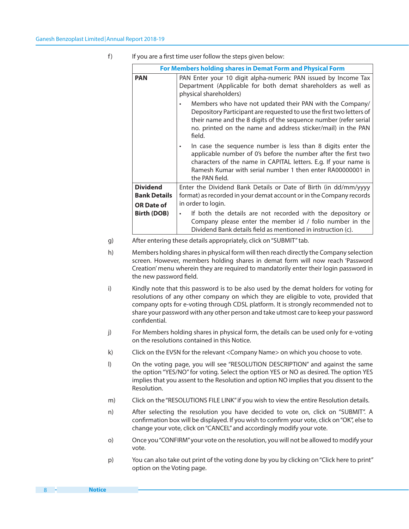| For Members holding shares in Demat Form and Physical Form  |                                                                                                                                                                                                                                                                                               |  |  |  |
|-------------------------------------------------------------|-----------------------------------------------------------------------------------------------------------------------------------------------------------------------------------------------------------------------------------------------------------------------------------------------|--|--|--|
| <b>PAN</b>                                                  | PAN Enter your 10 digit alpha-numeric PAN issued by Income Tax<br>Department (Applicable for both demat shareholders as well as<br>physical shareholders)                                                                                                                                     |  |  |  |
|                                                             | Members who have not updated their PAN with the Company/<br>$\bullet$<br>Depository Participant are requested to use the first two letters of<br>their name and the 8 digits of the sequence number (refer serial<br>no. printed on the name and address sticker/mail) in the PAN<br>field.   |  |  |  |
|                                                             | In case the sequence number is less than 8 digits enter the<br>$\bullet$<br>applicable number of 0's before the number after the first two<br>characters of the name in CAPITAL letters. E.g. If your name is<br>Ramesh Kumar with serial number 1 then enter RA00000001 in<br>the PAN field. |  |  |  |
| <b>Dividend</b><br><b>Bank Details</b><br><b>OR Date of</b> | Enter the Dividend Bank Details or Date of Birth (in dd/mm/yyyy<br>format) as recorded in your demat account or in the Company records<br>in order to login.                                                                                                                                  |  |  |  |
| <b>Birth (DOB)</b>                                          | If both the details are not recorded with the depository or<br>$\bullet$<br>Company please enter the member id / folio number in the<br>Dividend Bank details field as mentioned in instruction (c).                                                                                          |  |  |  |

f) If you are a first time user follow the steps given below:

- g) After entering these details appropriately, click on "SUBMIT" tab.
- h) Members holding shares in physical form will then reach directly the Company selection screen. However, members holding shares in demat form will now reach 'Password Creation' menu wherein they are required to mandatorily enter their login password in the new password field.
- i) Kindly note that this password is to be also used by the demat holders for voting for resolutions of any other company on which they are eligible to vote, provided that company opts for e-voting through CDSL platform. It is strongly recommended not to share your password with any other person and take utmost care to keep your password confidential.
- j) For Members holding shares in physical form, the details can be used only for e-voting on the resolutions contained in this Notice.
- k) Click on the EVSN for the relevant <Company Name> on which you choose to vote.
- l) On the voting page, you will see "RESOLUTION DESCRIPTION" and against the same the option "YES/NO" for voting. Select the option YES or NO as desired. The option YES implies that you assent to the Resolution and option NO implies that you dissent to the Resolution.
- m) Click on the "RESOLUTIONS FILE LINK" if you wish to view the entire Resolution details.
- n) After selecting the resolution you have decided to vote on, click on "SUBMIT". A confirmation box will be displayed. If you wish to confirm your vote, click on "OK", else to change your vote, click on "CANCEL" and accordingly modify your vote.
- o) Once you "CONFIRM" your vote on the resolution, you will not be allowed to modify your vote.
- p) You can also take out print of the voting done by you by clicking on "Click here to print" option on the Voting page.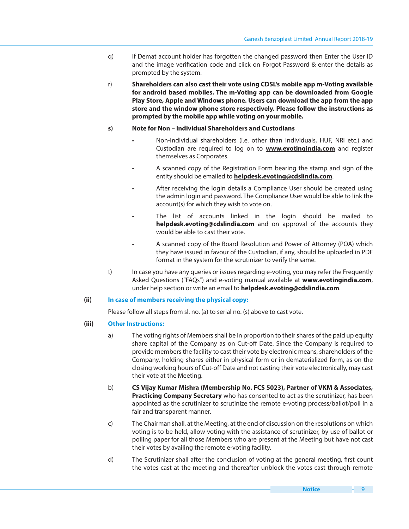- q) If Demat account holder has forgotten the changed password then Enter the User ID and the image verification code and click on Forgot Password & enter the details as prompted by the system.
- r) **Shareholders can also cast their vote using CDSL's mobile app m-Voting available for android based mobiles. The m-Voting app can be downloaded from Google Play Store, Apple and Windows phone. Users can download the app from the app store and the window phone store respectively. Please follow the instructions as prompted by the mobile app while voting on your mobile.**

# **s) Note for Non – Individual Shareholders and Custodians**

- Non-Individual shareholders (i.e. other than Individuals, HUF, NRI etc.) and Custodian are required to log on to **www.evotingindia.com** and register themselves as Corporates.
- A scanned copy of the Registration Form bearing the stamp and sign of the entity should be emailed to **helpdesk.evoting@cdslindia.com**.
- After receiving the login details a Compliance User should be created using the admin login and password. The Compliance User would be able to link the account(s) for which they wish to vote on.
	- The list of accounts linked in the login should be mailed to **helpdesk.evoting@cdslindia.com** and on approval of the accounts they would be able to cast their vote.
- A scanned copy of the Board Resolution and Power of Attorney (POA) which they have issued in favour of the Custodian, if any, should be uploaded in PDF format in the system for the scrutinizer to verify the same.
- t) In case you have any queries or issues regarding e-voting, you may refer the Frequently Asked Questions ("FAQs") and e-voting manual available at **www.evotingindia.com**, under help section or write an email to **helpdesk.evoting@cdslindia.com**.

# **(ii) In case of members receiving the physical copy:**

Please follow all steps from sl. no. (a) to serial no. (s) above to cast vote.

# **(iii) Other Instructions:**

- a) The voting rights of Members shall be in proportion to their shares of the paid up equity share capital of the Company as on Cut-off Date. Since the Company is required to provide members the facility to cast their vote by electronic means, shareholders of the Company, holding shares either in physical form or in dematerialized form, as on the closing working hours of Cut-off Date and not casting their vote electronically, may cast their vote at the Meeting.
- b) **CS Vijay Kumar Mishra (Membership No. FCS 5023), Partner of VKM & Associates, Practicing Company Secretary** who has consented to act as the scrutinizer, has been appointed as the scrutinizer to scrutinize the remote e-voting process/ballot/poll in a fair and transparent manner.
- c) The Chairman shall, at the Meeting, at the end of discussion on the resolutions on which voting is to be held, allow voting with the assistance of scrutinizer, by use of ballot or polling paper for all those Members who are present at the Meeting but have not cast their votes by availing the remote e-voting facility.
- d) The Scrutinizer shall after the conclusion of voting at the general meeting, first count the votes cast at the meeting and thereafter unblock the votes cast through remote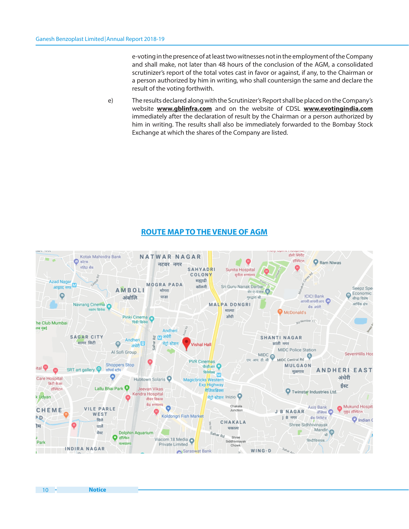e-voting in the presence of at least two witnesses not in the employment of the Company and shall make, not later than 48 hours of the conclusion of the AGM, a consolidated scrutinizer's report of the total votes cast in favor or against, if any, to the Chairman or a person authorized by him in writing, who shall countersign the same and declare the result of the voting forthwith.

e) The results declared along with the Scrutinizer's Report shall be placed on the Company's website **www.gblinfra.com** and on the website of CDSL **www.evotingindia.com** immediately after the declaration of result by the Chairman or a person authorized by him in writing. The results shall also be immediately forwarded to the Bombay Stock Exchange at which the shares of the Company are listed.

# **ROUTE MAP TO THE VENUE OF AGM**

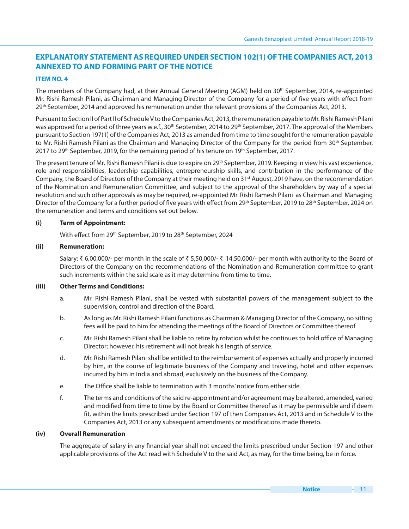# **EXPLANATORY STATEMENT AS REQUIRED UNDER SECTION 102(1) OF THE COMPANIES ACT, 2013 ANNEXED TO AND FORMING PART OF THE NOTICE**

# **ITEM NO. 4**

The members of the Company had, at their Annual General Meeting (AGM) held on 30<sup>th</sup> September, 2014, re-appointed Mr. Rishi Ramesh Pilani, as Chairman and Managing Director of the Company for a period of five years with effect from 29<sup>th</sup> September, 2014 and approved his remuneration under the relevant provisions of the Companies Act, 2013.

Pursuant to Section II of Part II of Schedule V to the Companies Act, 2013, the remuneration payable to Mr. Rishi Ramesh Pilani was approved for a period of three years w.e.f., 30<sup>th</sup> September, 2014 to 29<sup>th</sup> September, 2017. The approval of the Members pursuant to Section 197(1) of the Companies Act, 2013 as amended from time to time sought for the remuneration payable to Mr. Rishi Ramesh Pilani as the Chairman and Managing Director of the Company for the period from 30<sup>th</sup> September, 2017 to 29<sup>th</sup> September, 2019, for the remaining period of his tenure on 19<sup>th</sup> September, 2017.

The present tenure of Mr. Rishi Ramesh Pilani is due to expire on 29<sup>th</sup> September, 2019. Keeping in view his vast experience, role and responsibilities, leadership capabilities, entrepreneurship skills, and contribution in the performance of the Company, the Board of Directors of the Company at their meeting held on 31<sup>st</sup> August, 2019 have, on the recommendation of the Nomination and Remuneration Committee, and subject to the approval of the shareholders by way of a special resolution and such other approvals as may be required, re-appointed Mr. Rishi Ramesh Pilani as Chairman and Managing Director of the Company for a further period of five years with effect from 29<sup>th</sup> September, 2019 to 28<sup>th</sup> September, 2024 on the remuneration and terms and conditions set out below.

# **(i) Term of Appointment:**

With effect from 29<sup>th</sup> September, 2019 to 28<sup>th</sup> September, 2024

# **(ii) Remuneration:**

Salary:  $\bar{\xi}$  6,00,000/- per month in the scale of  $\bar{\xi}$  5,50,000/-  $\bar{\xi}$  14,50,000/- per month with authority to the Board of Directors of the Company on the recommendations of the Nomination and Remuneration committee to grant such increments within the said scale as it may determine from time to time.

# **(iii) Other Terms and Conditions:**

- a. Mr. Rishi Ramesh Pilani, shall be vested with substantial powers of the management subject to the supervision, control and direction of the Board.
- b. As long as Mr. Rishi Ramesh Pilani functions as Chairman & Managing Director of the Company, no sitting fees will be paid to him for attending the meetings of the Board of Directors or Committee thereof.
- c. Mr. Rishi Ramesh Pilani shall be liable to retire by rotation whilst he continues to hold office of Managing Director; however, his retirement will not break his length of service.
- d. Mr. Rishi Ramesh Pilani shall be entitled to the reimbursement of expenses actually and properly incurred by him, in the course of legitimate business of the Company and traveling, hotel and other expenses incurred by him in India and abroad, exclusively on the business of the Company.
- e. The Office shall be liable to termination with 3 months' notice from either side.
- f. The terms and conditions of the said re-appointment and/or agreement may be altered, amended, varied and modified from time to time by the Board or Committee thereof as it may be permissible and if deem fit, within the limits prescribed under Section 197 of then Companies Act, 2013 and in Schedule V to the Companies Act, 2013 or any subsequent amendments or modifications made thereto.

# **(iv) Overall Remuneration**

The aggregate of salary in any financial year shall not exceed the limits prescribed under Section 197 and other applicable provisions of the Act read with Schedule V to the said Act, as may, for the time being, be in force.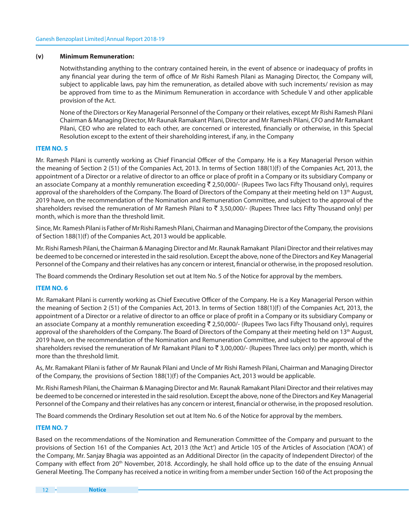#### **(v) Minimum Remuneration:**

Notwithstanding anything to the contrary contained herein, in the event of absence or inadequacy of profits in any financial year during the term of office of Mr Rishi Ramesh Pilani as Managing Director, the Company will, subject to applicable laws, pay him the remuneration, as detailed above with such increments/ revision as may be approved from time to as the Minimum Remuneration in accordance with Schedule V and other applicable provision of the Act.

 None of the Directors or Key Managerial Personnel of the Company or their relatives, except Mr Rishi Ramesh Pilani Chairman & Managing Director, Mr Raunak Ramakant Pilani, Director and Mr Ramesh Pilani, CFO and Mr Ramakant Pilani, CEO who are related to each other, are concerned or interested, financially or otherwise, in this Special Resolution except to the extent of their shareholding interest, if any, in the Company

# **ITEM NO. 5**

Mr. Ramesh Pilani is currently working as Chief Financial Officer of the Company. He is a Key Managerial Person within the meaning of Section 2 (51) of the Companies Act, 2013. In terms of Section 188(1)(f) of the Companies Act, 2013, the appointment of a Director or a relative of director to an office or place of profit in a Company or its subsidiary Company or an associate Company at a monthly remuneration exceeding  $\bar{\tau}$  2,50,000/- (Rupees Two lacs Fifty Thousand only), requires approval of the shareholders of the Company. The Board of Directors of the Company at their meeting held on 13th August, 2019 have, on the recommendation of the Nomination and Remuneration Committee, and subject to the approval of the shareholders revised the remuneration of Mr Ramesh Pilani to  $\bar{z}$  3,50,000/- (Rupees Three lacs Fifty Thousand only) per month, which is more than the threshold limit.

Since, Mr. Ramesh Pilani is Father of Mr Rishi Ramesh Pilani, Chairman and Managing Director of the Company, the provisions of Section 188(1)(f) of the Companies Act, 2013 would be applicable.

Mr. Rishi Ramesh Pilani, the Chairman & Managing Director and Mr. Raunak Ramakant Pilani Director and their relatives may be deemed to be concerned or interested in the said resolution. Except the above, none of the Directors and Key Managerial Personnel of the Company and their relatives has any concern or interest, financial or otherwise, in the proposed resolution.

The Board commends the Ordinary Resolution set out at Item No. 5 of the Notice for approval by the members.

# **ITEM NO. 6**

Mr. Ramakant Pilani is currently working as Chief Executive Officer of the Company. He is a Key Managerial Person within the meaning of Section 2 (51) of the Companies Act, 2013. In terms of Section 188(1)(f) of the Companies Act, 2013, the appointment of a Director or a relative of director to an office or place of profit in a Company or its subsidiary Company or an associate Company at a monthly remuneration exceeding  $\bar{\tau}$  2,50,000/- (Rupees Two lacs Fifty Thousand only), requires approval of the shareholders of the Company. The Board of Directors of the Company at their meeting held on 13th August, 2019 have, on the recommendation of the Nomination and Remuneration Committee, and subject to the approval of the shareholders revised the remuneration of Mr Ramakant Pilani to  $\bar{z}$  3,00,000/- (Rupees Three lacs only) per month, which is more than the threshold limit.

As, Mr. Ramakant Pilani is father of Mr Raunak Pilani and Uncle of Mr Rishi Ramesh Pilani, Chairman and Managing Director of the Company, the provisions of Section 188(1)(f) of the Companies Act, 2013 would be applicable.

Mr. Rishi Ramesh Pilani, the Chairman & Managing Director and Mr. Raunak Ramakant Pilani Director and their relatives may be deemed to be concerned or interested in the said resolution. Except the above, none of the Directors and Key Managerial Personnel of the Company and their relatives has any concern or interest, financial or otherwise, in the proposed resolution.

The Board commends the Ordinary Resolution set out at Item No. 6 of the Notice for approval by the members.

#### **ITEM NO. 7**

Based on the recommendations of the Nomination and Remuneration Committee of the Company and pursuant to the provisions of Section 161 of the Companies Act, 2013 (the 'Act') and Article 105 of the Articles of Association ('AOA') of the Company, Mr. Sanjay Bhagia was appointed as an Additional Director (in the capacity of Independent Director) of the Company with effect from 20<sup>th</sup> November, 2018. Accordingly, he shall hold office up to the date of the ensuing Annual General Meeting. The Company has received a notice in writing from a member under Section 160 of the Act proposing the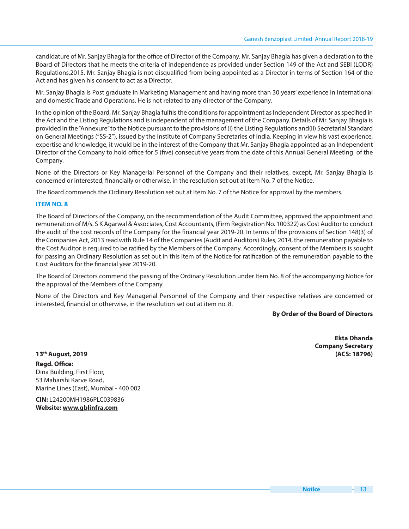candidature of Mr. Sanjay Bhagia for the office of Director of the Company. Mr. Sanjay Bhagia has given a declaration to the Board of Directors that he meets the criteria of independence as provided under Section 149 of the Act and SEBI (LODR) Regulations,2015. Mr. Sanjay Bhagia is not disqualified from being appointed as a Director in terms of Section 164 of the Act and has given his consent to act as a Director.

Mr. Sanjay Bhagia is Post graduate in Marketing Management and having more than 30 years' experience in International and domestic Trade and Operations. He is not related to any director of the Company.

In the opinion of the Board, Mr. Sanjay Bhagia fulfils the conditions for appointment as Independent Director as specified in the Act and the Listing Regulations and is independent of the management of the Company. Details of Mr. Sanjay Bhagia is provided in the "Annexure" to the Notice pursuant to the provisions of (i) the Listing Regulations and(ii) Secretarial Standard on General Meetings ("SS-2"), issued by the Institute of Company Secretaries of India. Keeping in view his vast experience, expertise and knowledge, it would be in the interest of the Company that Mr. Sanjay Bhagia appointed as an Independent Director of the Company to hold office for 5 (five) consecutive years from the date of this Annual General Meeting of the Company.

None of the Directors or Key Managerial Personnel of the Company and their relatives, except, Mr. Sanjay Bhagia is concerned or interested, financially or otherwise, in the resolution set out at Item No. 7 of the Notice.

The Board commends the Ordinary Resolution set out at Item No. 7 of the Notice for approval by the members.

# **ITEM NO. 8**

The Board of Directors of the Company, on the recommendation of the Audit Committee, approved the appointment and remuneration of M/s. S K Agarwal & Associates, Cost Accountants, (Firm Registration No. 100322) as Cost Auditor to conduct the audit of the cost records of the Company for the financial year 2019-20. In terms of the provisions of Section 148(3) of the Companies Act, 2013 read with Rule 14 of the Companies (Audit and Auditors) Rules, 2014, the remuneration payable to the Cost Auditor is required to be ratified by the Members of the Company. Accordingly, consent of the Members is sought for passing an Ordinary Resolution as set out in this item of the Notice for ratification of the remuneration payable to the Cost Auditors for the financial year 2019-20.

The Board of Directors commend the passing of the Ordinary Resolution under Item No. 8 of the accompanying Notice for the approval of the Members of the Company.

None of the Directors and Key Managerial Personnel of the Company and their respective relatives are concerned or interested, financial or otherwise, in the resolution set out at item no. 8.

#### **By Order of the Board of Directors**

**Ekta Dhanda Company Secretary 13th August, 2019 (ACS: 18796)**

**Regd. Office:** Dina Building, First Floor, 53 Maharshi Karve Road, Marine Lines (East), Mumbai - 400 002

**CIN:** L24200MH1986PLC039836 **Website: www.gblinfra.com**